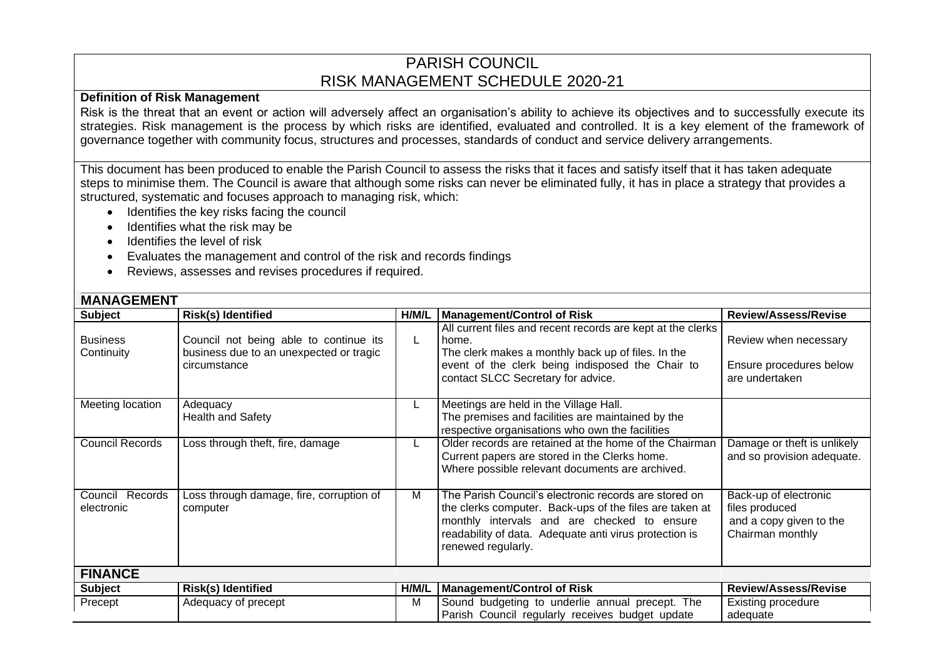## PARISH COUNCIL RISK MANAGEMENT SCHEDULE 2020-21

## **Definition of Risk Management**

Risk is the threat that an event or action will adversely affect an organisation's ability to achieve its objectives and to successfully execute its strategies. Risk management is the process by which risks are identified, evaluated and controlled. It is a key element of the framework of governance together with community focus, structures and processes, standards of conduct and service delivery arrangements.

This document has been produced to enable the Parish Council to assess the risks that it faces and satisfy itself that it has taken adequate steps to minimise them. The Council is aware that although some risks can never be eliminated fully, it has in place a strategy that provides a structured, systematic and focuses approach to managing risk, which:

- Identifies the key risks facing the council
- Identifies what the risk may be
- Identifies the level of risk
- Evaluates the management and control of the risk and records findings
- Reviews, assesses and revises procedures if required.

| <b>MANAGEMENT</b>                |                                                                                                   |       |                                                                                                                                                                                                                                                 |                                                                                        |  |  |
|----------------------------------|---------------------------------------------------------------------------------------------------|-------|-------------------------------------------------------------------------------------------------------------------------------------------------------------------------------------------------------------------------------------------------|----------------------------------------------------------------------------------------|--|--|
| <b>Subject</b>                   | <b>Risk(s) Identified</b>                                                                         | H/M/L | <b>Management/Control of Risk</b>                                                                                                                                                                                                               | <b>Review/Assess/Revise</b>                                                            |  |  |
| <b>Business</b><br>Continuity    | Council not being able to continue its<br>business due to an unexpected or tragic<br>circumstance | L.    | All current files and recent records are kept at the clerks<br>home.<br>The clerk makes a monthly back up of files. In the<br>event of the clerk being indisposed the Chair to<br>contact SLCC Secretary for advice.                            | Review when necessary<br>Ensure procedures below<br>are undertaken                     |  |  |
| Meeting location                 | Adequacy<br><b>Health and Safety</b>                                                              |       | Meetings are held in the Village Hall.<br>The premises and facilities are maintained by the<br>respective organisations who own the facilities                                                                                                  |                                                                                        |  |  |
| <b>Council Records</b>           | Loss through theft, fire, damage                                                                  |       | Older records are retained at the home of the Chairman<br>Current papers are stored in the Clerks home.<br>Where possible relevant documents are archived.                                                                                      | Damage or theft is unlikely<br>and so provision adequate.                              |  |  |
| Records<br>Council<br>electronic | Loss through damage, fire, corruption of<br>computer                                              | Μ     | The Parish Council's electronic records are stored on<br>the clerks computer. Back-ups of the files are taken at<br>monthly intervals and are checked to ensure<br>readability of data. Adequate anti virus protection is<br>renewed regularly. | Back-up of electronic<br>files produced<br>and a copy given to the<br>Chairman monthly |  |  |
| <b>FINANCE</b>                   |                                                                                                   |       |                                                                                                                                                                                                                                                 |                                                                                        |  |  |
| <b>Subject</b>                   | Risk(s) Identified                                                                                | H/M/L | <b>Management/Control of Risk</b>                                                                                                                                                                                                               | <b>Review/Assess/Revise</b>                                                            |  |  |
| Precept                          | Adequacy of precept                                                                               | М     | Sound budgeting to underlie annual precept. The<br>Parish Council regularly receives budget update                                                                                                                                              | Existing procedure<br>adequate                                                         |  |  |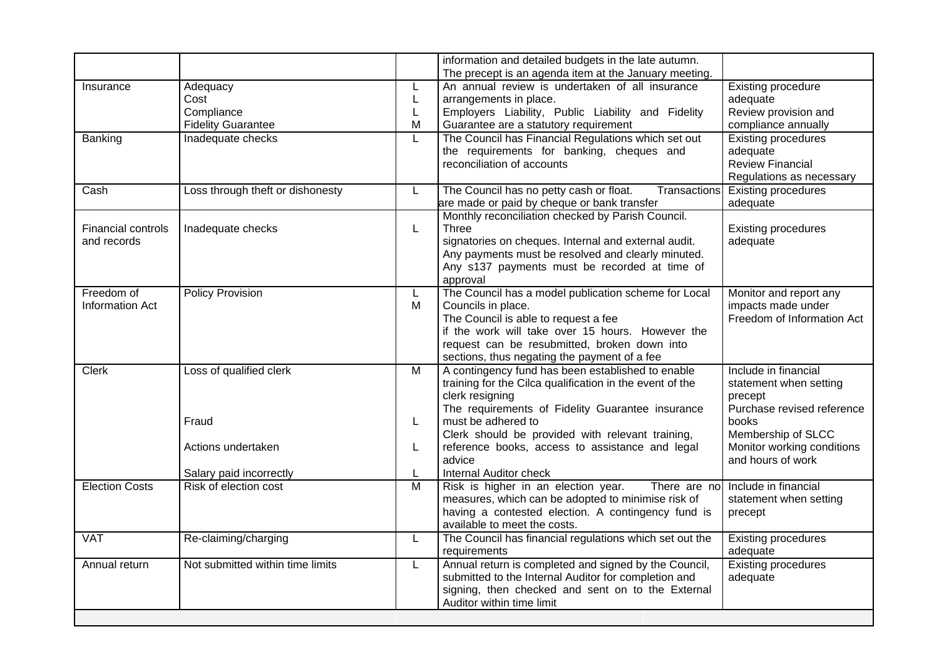|                                          |                                                             |                          | information and detailed budgets in the late autumn.<br>The precept is an agenda item at the January meeting.                                                                                                                                                                                                               |                                                                                                                                                                           |  |
|------------------------------------------|-------------------------------------------------------------|--------------------------|-----------------------------------------------------------------------------------------------------------------------------------------------------------------------------------------------------------------------------------------------------------------------------------------------------------------------------|---------------------------------------------------------------------------------------------------------------------------------------------------------------------------|--|
| Insurance                                | Adequacy<br>Cost<br>Compliance<br><b>Fidelity Guarantee</b> | L<br>L<br>L<br>M         | An annual review is undertaken of all insurance<br>arrangements in place.<br>Employers Liability, Public Liability and Fidelity<br>Guarantee are a statutory requirement                                                                                                                                                    | <b>Existing procedure</b><br>adequate<br>Review provision and<br>compliance annually                                                                                      |  |
| Banking                                  | Inadequate checks                                           | L                        | The Council has Financial Regulations which set out<br>the requirements for banking, cheques and<br>reconciliation of accounts                                                                                                                                                                                              | <b>Existing procedures</b><br>adequate<br>Review Financial<br>Regulations as necessary                                                                                    |  |
| Cash                                     | Loss through theft or dishonesty                            | L                        | The Council has no petty cash or float.<br>Transactions<br>are made or paid by cheque or bank transfer                                                                                                                                                                                                                      | <b>Existing procedures</b><br>adequate                                                                                                                                    |  |
| <b>Financial controls</b><br>and records | Inadequate checks                                           | L                        | Monthly reconciliation checked by Parish Council.<br>Three<br>signatories on cheques. Internal and external audit.<br>Any payments must be resolved and clearly minuted.<br>Any s137 payments must be recorded at time of<br>approval                                                                                       | <b>Existing procedures</b><br>adequate                                                                                                                                    |  |
| Freedom of<br><b>Information Act</b>     | <b>Policy Provision</b>                                     | L<br>M                   | The Council has a model publication scheme for Local<br>Councils in place.<br>The Council is able to request a fee<br>if the work will take over 15 hours. However the<br>request can be resubmitted, broken down into<br>sections, thus negating the payment of a fee                                                      | Monitor and report any<br>impacts made under<br>Freedom of Information Act                                                                                                |  |
| <b>Clerk</b>                             | Loss of qualified clerk<br>Fraud<br>Actions undertaken      | $\overline{M}$<br>L<br>L | A contingency fund has been established to enable<br>training for the Cilca qualification in the event of the<br>clerk resigning<br>The requirements of Fidelity Guarantee insurance<br>must be adhered to<br>Clerk should be provided with relevant training,<br>reference books, access to assistance and legal<br>advice | Include in financial<br>statement when setting<br>precept<br>Purchase revised reference<br>books<br>Membership of SLCC<br>Monitor working conditions<br>and hours of work |  |
| <b>Election Costs</b>                    | Salary paid incorrectly<br>Risk of election cost            | L<br>$\overline{M}$      | <b>Internal Auditor check</b><br>Risk is higher in an election year.<br>There are no Include in financial<br>measures, which can be adopted to minimise risk of<br>statement when setting<br>having a contested election. A contingency fund is<br>precept<br>available to meet the costs.                                  |                                                                                                                                                                           |  |
| <b>VAT</b>                               | Re-claiming/charging                                        | L                        | The Council has financial regulations which set out the<br>requirements                                                                                                                                                                                                                                                     | <b>Existing procedures</b><br>adequate                                                                                                                                    |  |
| Annual return                            | Not submitted within time limits                            | L                        | Annual return is completed and signed by the Council,<br><b>Existing procedures</b><br>submitted to the Internal Auditor for completion and<br>adequate<br>signing, then checked and sent on to the External<br>Auditor within time limit                                                                                   |                                                                                                                                                                           |  |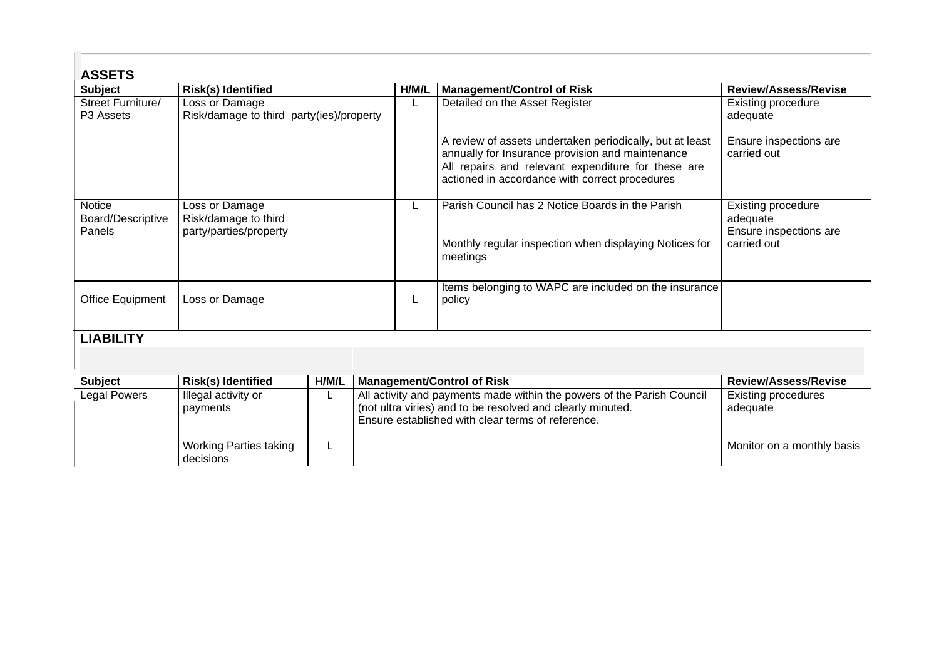| <b>ASSETS</b>                                |                                                                  |       |                                                                                                                                                                                           |       |                                                                                                                                                                                                                      |                                                                                |  |
|----------------------------------------------|------------------------------------------------------------------|-------|-------------------------------------------------------------------------------------------------------------------------------------------------------------------------------------------|-------|----------------------------------------------------------------------------------------------------------------------------------------------------------------------------------------------------------------------|--------------------------------------------------------------------------------|--|
| <b>Subject</b>                               | <b>Risk(s) Identified</b>                                        |       |                                                                                                                                                                                           | H/M/L | <b>Management/Control of Risk</b>                                                                                                                                                                                    | <b>Review/Assess/Revise</b>                                                    |  |
| Street Furniture/<br>P <sub>3</sub> Assets   | Loss or Damage<br>Risk/damage to third party(ies)/property       |       |                                                                                                                                                                                           | L     | Detailed on the Asset Register                                                                                                                                                                                       | <b>Existing procedure</b><br>adequate                                          |  |
|                                              |                                                                  |       |                                                                                                                                                                                           |       | A review of assets undertaken periodically, but at least<br>annually for Insurance provision and maintenance<br>All repairs and relevant expenditure for these are<br>actioned in accordance with correct procedures | Ensure inspections are<br>carried out                                          |  |
| <b>Notice</b><br>Board/Descriptive<br>Panels | Loss or Damage<br>Risk/damage to third<br>party/parties/property |       |                                                                                                                                                                                           |       | Parish Council has 2 Notice Boards in the Parish<br>Monthly regular inspection when displaying Notices for<br>meetings                                                                                               | <b>Existing procedure</b><br>adequate<br>Ensure inspections are<br>carried out |  |
|                                              |                                                                  |       |                                                                                                                                                                                           |       |                                                                                                                                                                                                                      |                                                                                |  |
| Office Equipment                             | Loss or Damage                                                   |       |                                                                                                                                                                                           | L     | Items belonging to WAPC are included on the insurance<br>policy                                                                                                                                                      |                                                                                |  |
| <b>LIABILITY</b>                             |                                                                  |       |                                                                                                                                                                                           |       |                                                                                                                                                                                                                      |                                                                                |  |
|                                              |                                                                  |       |                                                                                                                                                                                           |       |                                                                                                                                                                                                                      |                                                                                |  |
| <b>Subject</b>                               | <b>Risk(s) Identified</b>                                        | H/M/L | <b>Management/Control of Risk</b>                                                                                                                                                         |       |                                                                                                                                                                                                                      | <b>Review/Assess/Revise</b>                                                    |  |
| Legal Powers                                 | Illegal activity or<br>payments                                  |       | All activity and payments made within the powers of the Parish Council<br>(not ultra viries) and to be resolved and clearly minuted.<br>Ensure established with clear terms of reference. |       |                                                                                                                                                                                                                      | <b>Existing procedures</b><br>adequate                                         |  |
|                                              | <b>Working Parties taking</b><br>decisions                       |       |                                                                                                                                                                                           |       |                                                                                                                                                                                                                      | Monitor on a monthly basis                                                     |  |

 $\epsilon$  .  $\pm$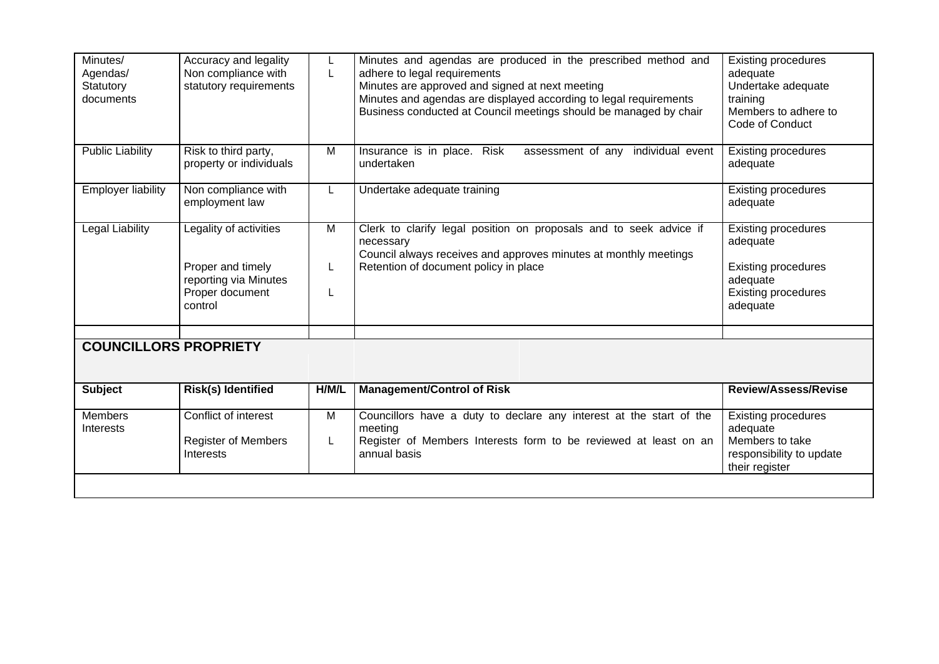| Minutes/<br>Agendas/<br>Statutory<br>documents | Accuracy and legality<br>Non compliance with<br>statutory requirements                             | L<br>L                   | Minutes and agendas are produced in the prescribed method and<br>adhere to legal requirements<br>Minutes are approved and signed at next meeting<br>Minutes and agendas are displayed according to legal requirements<br>Business conducted at Council meetings should be managed by chair | <b>Existing procedures</b><br>adequate<br>Undertake adequate<br>training<br>Members to adhere to<br>Code of Conduct        |
|------------------------------------------------|----------------------------------------------------------------------------------------------------|--------------------------|--------------------------------------------------------------------------------------------------------------------------------------------------------------------------------------------------------------------------------------------------------------------------------------------|----------------------------------------------------------------------------------------------------------------------------|
| <b>Public Liability</b>                        | Risk to third party,<br>property or individuals                                                    | M                        | Insurance is in place. Risk<br>assessment of any individual event<br>undertaken                                                                                                                                                                                                            | <b>Existing procedures</b><br>adequate                                                                                     |
| <b>Employer liability</b>                      | Non compliance with<br>employment law                                                              | L                        | Undertake adequate training                                                                                                                                                                                                                                                                | <b>Existing procedures</b><br>adequate                                                                                     |
| <b>Legal Liability</b>                         | Legality of activities<br>Proper and timely<br>reporting via Minutes<br>Proper document<br>control | $\overline{M}$<br>L<br>L | Clerk to clarify legal position on proposals and to seek advice if<br>necessary<br>Council always receives and approves minutes at monthly meetings<br>Retention of document policy in place                                                                                               | <b>Existing procedures</b><br>adequate<br><b>Existing procedures</b><br>adequate<br><b>Existing procedures</b><br>adequate |
|                                                |                                                                                                    |                          |                                                                                                                                                                                                                                                                                            |                                                                                                                            |
| <b>COUNCILLORS PROPRIETY</b>                   |                                                                                                    |                          |                                                                                                                                                                                                                                                                                            |                                                                                                                            |
| <b>Subject</b>                                 | <b>Risk(s) Identified</b>                                                                          | H/M/L                    | <b>Management/Control of Risk</b>                                                                                                                                                                                                                                                          | <b>Review/Assess/Revise</b>                                                                                                |
| Members<br>Interests                           | Conflict of interest<br><b>Register of Members</b><br>Interests                                    | M<br>L                   | Councillors have a duty to declare any interest at the start of the<br>meeting<br>Register of Members Interests form to be reviewed at least on an<br>annual basis                                                                                                                         | <b>Existing procedures</b><br>adequate<br>Members to take<br>responsibility to update<br>their register                    |
|                                                |                                                                                                    |                          |                                                                                                                                                                                                                                                                                            |                                                                                                                            |